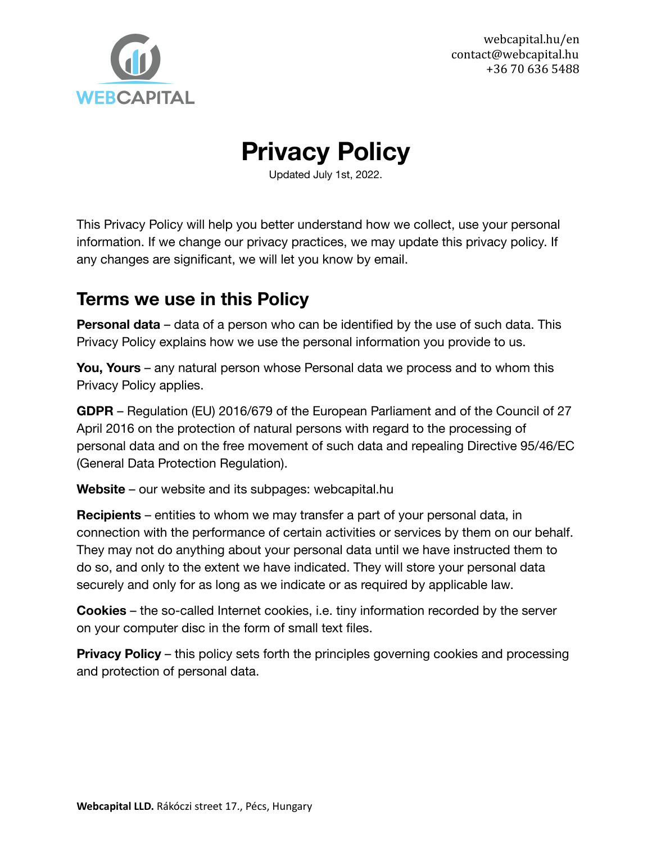

# **Privacy Policy**

Updated July 1st, 2022.

This Privacy Policy will help you better understand how we collect, use your personal information. If we change our privacy practices, we may update this privacy policy. If any changes are significant, we will let you know by email.

### **Terms we use in this Policy**

**Personal data** – data of a person who can be identified by the use of such data. This Privacy Policy explains how we use the personal information you provide to us.

**You, Yours** – any natural person whose Personal data we process and to whom this Privacy Policy applies.

**GDPR** – Regulation (EU) 2016/679 of the European Parliament and of the Council of 27 April 2016 on the protection of natural persons with regard to the processing of personal data and on the free movement of such data and repealing Directive 95/46/EC (General Data Protection Regulation).

**Website** – our website and its subpages[:](https://www.tsh.io) webcapital.hu

**Recipients** – entities to whom we may transfer a part of your personal data, in connection with the performance of certain activities or services by them on our behalf. They may not do anything about your personal data until we have instructed them to do so, and only to the extent we have indicated. They will store your personal data securely and only for as long as we indicate or as required by applicable law.

**Cookies** – the so-called Internet cookies, i.e. tiny information recorded by the server on your computer disc in the form of small text files.

**Privacy Policy** – this policy sets forth the principles governing cookies and processing and protection of personal data.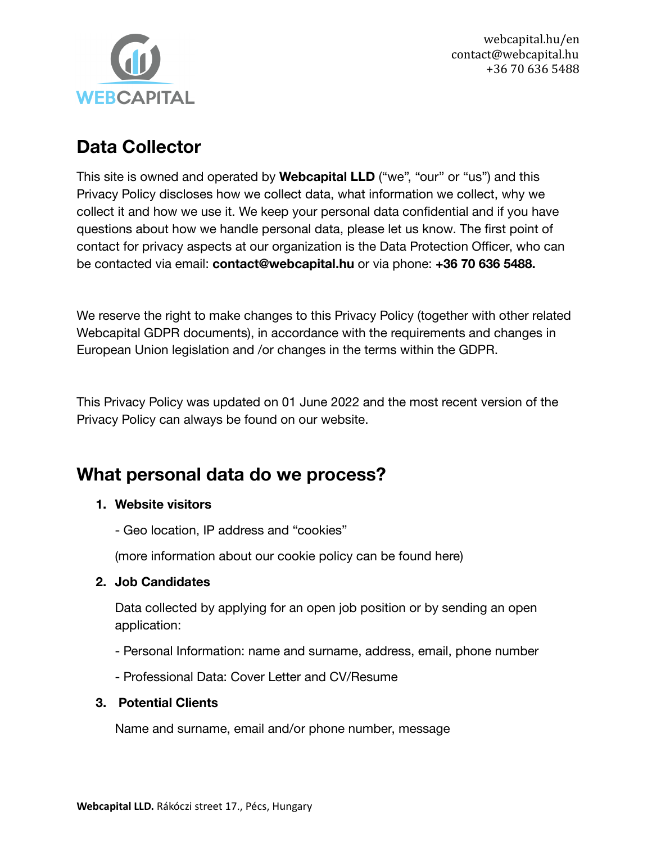

### **Data Collector**

This site is owned and operated by **Webcapital LLD** ("we", "our" or "us") and this Privacy Policy discloses how we collect data, what information we collect, why we collect it and how we use it. We keep your personal data confidential and if you have questions about how we handle personal data, please let us know. The first point of contact for privacy aspects at our organization is the Data Protection Officer, who can be contacted via email: **contact@webcapital.hu** or via phone: **+36 70 636 5488.**

We reserve the right to make changes to this Privacy Policy (together with other related Webcapital GDPR documents), in accordance with the requirements and changes in European Union legislation and /or changes in the terms within the GDPR.

This Privacy Policy was updated on 01 June 2022 and the most recent version of the Privacy Policy can always be found on our website.

# **What personal data do we process?**

#### **1. Website visitors**

- Geo location, IP address and "cookies"

(more information about our cookie policy can be found here)

#### **2. Job Candidates**

Data collected by applying for an open job position or by sending an open application:

- Personal Information: name and surname, address, email, phone number
- Professional Data: Cover Letter and CV/Resume

#### **3. Potential Clients**

Name and surname, email and/or phone number, message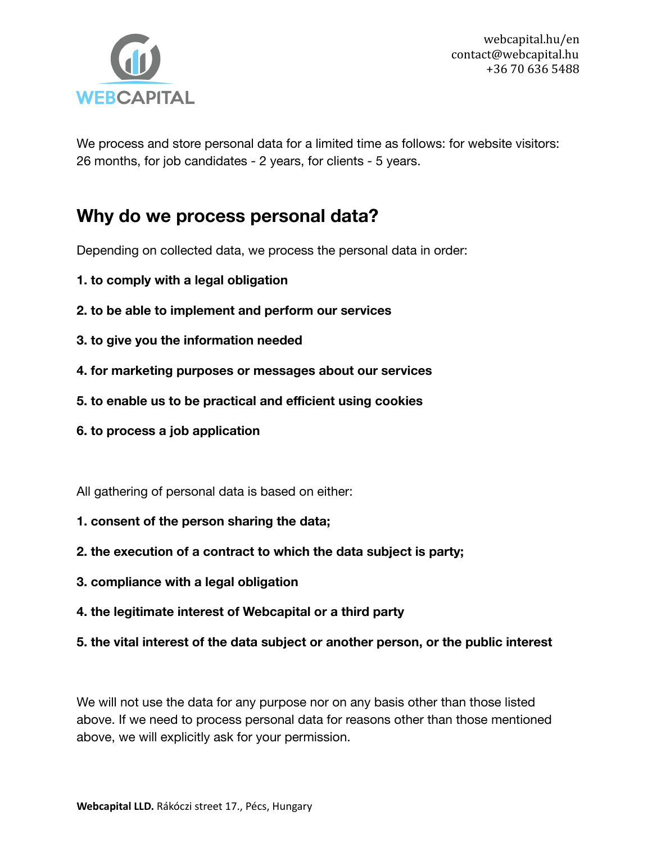

We process and store personal data for a limited time as follows: for website visitors: 26 months, for job candidates - 2 years, for clients - 5 years.

#### **Why do we process personal data?**

Depending on collected data, we process the personal data in order:

- **1. to comply with a legal obligation**
- **2. to be able to implement and perform our services**
- **3. to give you the information needed**
- **4. for marketing purposes or messages about our services**
- **5. to enable us to be practical and efficient using cookies**
- **6. to process a job application**

All gathering of personal data is based on either:

- **1. consent of the person sharing the data;**
- **2. the execution of a contract to which the data subject is party;**
- **3. compliance with a legal obligation**
- **4. the legitimate interest of Webcapital or a third party**
- **5. the vital interest of the data subject or another person, or the public interest**

We will not use the data for any purpose nor on any basis other than those listed above. If we need to process personal data for reasons other than those mentioned above, we will explicitly ask for your permission.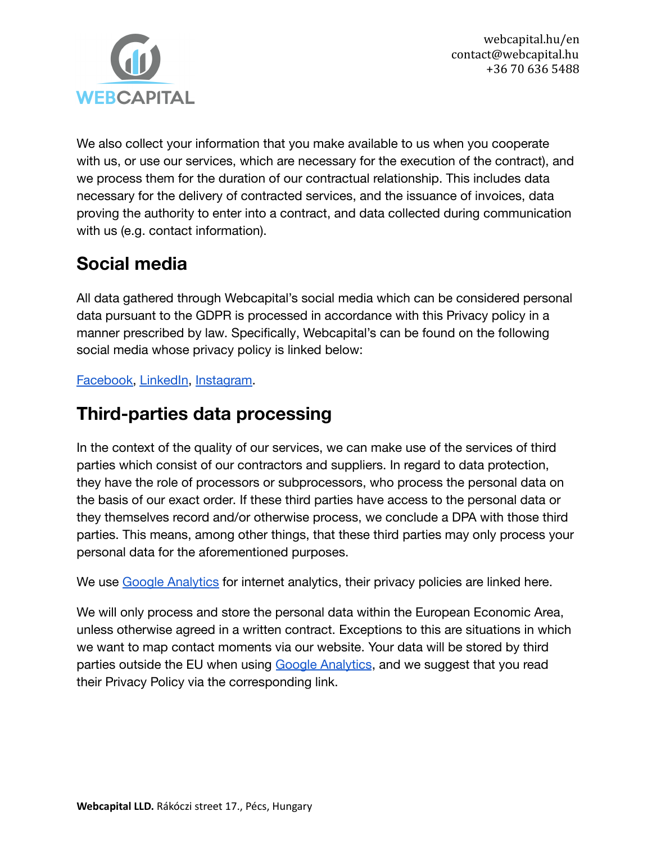

We also collect your information that you make available to us when you cooperate with us, or use our services, which are necessary for the execution of the contract), and we process them for the duration of our contractual relationship. This includes data necessary for the delivery of contracted services, and the issuance of invoices, data proving the authority to enter into a contract, and data collected during communication with us (e.g. contact information).

# **Social media**

All data gathered through Webcapital's social media which can be considered personal data pursuant to the GDPR is processed in accordance with this Privacy policy in a manner prescribed by law. Specifically, Webcapital's can be found on the following social media whose privacy policy is linked below:

[Facebook,](https://www.facebook.com/webcapitalkft) [LinkedIn,](https://www.linkedin.com/company/webcapitalkft) [Instagram.](https://www.instagram.com/webcapitalkft/)

### **Third-parties data processing**

In the context of the quality of our services, we can make use of the services of third parties which consist of our contractors and suppliers. In regard to data protection, they have the role of processors or subprocessors, who process the personal data on the basis of our exact order. If these third parties have access to the personal data or they themselves record and/or otherwise process, we conclude a DPA with those third parties. This means, among other things, that these third parties may only process your personal data for the aforementioned purposes.

We use [Google Analytics](https://support.google.com/analytics/topic/2919631?hl=en&ref_topic=1008008) for internet analytics, their privacy policies are linked here.

We will only process and store the personal data within the European Economic Area, unless otherwise agreed in a written contract. Exceptions to this are situations in which we want to map contact moments via our website. Your data will be stored by third parties outside the EU when using [Google Analytics](https://support.google.com/analytics/topic/2919631?hl=en&ref_topic=1008008), and we suggest that you read their Privacy Policy via the corresponding link.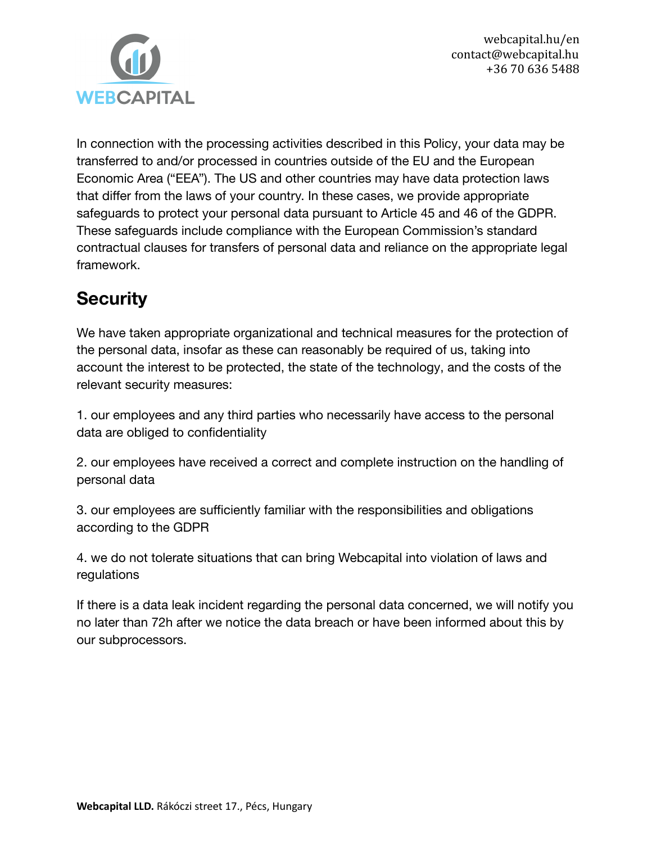

In connection with the processing activities described in this Policy, your data may be transferred to and/or processed in countries outside of the EU and the European Economic Area ("EEA"). The US and other countries may have data protection laws that differ from the laws of your country. In these cases, we provide appropriate safeguards to protect your personal data pursuant to Article 45 and 46 of the GDPR. These safeguards include compliance with the European Commission's standard contractual clauses for transfers of personal data and reliance on the appropriate legal framework.

# **Security**

We have taken appropriate organizational and technical measures for the protection of the personal data, insofar as these can reasonably be required of us, taking into account the interest to be protected, the state of the technology, and the costs of the relevant security measures:

1. our employees and any third parties who necessarily have access to the personal data are obliged to confidentiality

2. our employees have received a correct and complete instruction on the handling of personal data

3. our employees are sufficiently familiar with the responsibilities and obligations according to the GDPR

4. we do not tolerate situations that can bring Webcapital into violation of laws and regulations

If there is a data leak incident regarding the personal data concerned, we will notify you no later than 72h after we notice the data breach or have been informed about this by our subprocessors.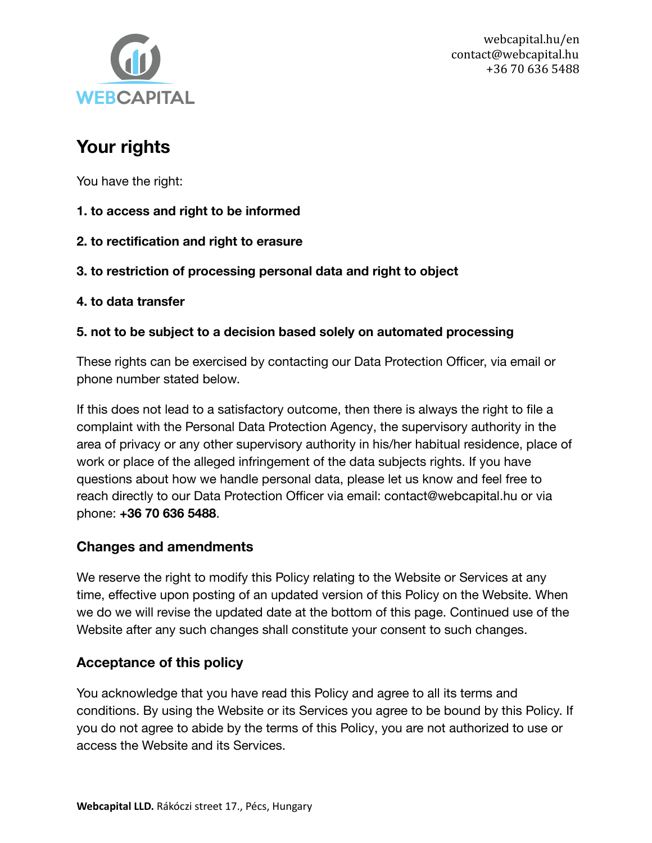

### **Your rights**

You have the right:

- **1. to access and right to be informed**
- **2. to rectification and right to erasure**
- **3. to restriction of processing personal data and right to object**
- **4. to data transfer**

#### **5. not to be subject to a decision based solely on automated processing**

These rights can be exercised by contacting our Data Protection Officer, via email or phone number stated below.

If this does not lead to a satisfactory outcome, then there is always the right to file a complaint with the Personal Data Protection Agency, the supervisory authority in the area of privacy or any other supervisory authority in his/her habitual residence, place of work or place of the alleged infringement of the data subjects rights. If you have questions about how we handle personal data, please let us know and feel free to reach directly to our Data Protection Officer via email: contact@webcapital.hu or via phone: **+36 70 636 5488**.

#### **Changes and amendments**

We reserve the right to modify this Policy relating to the Website or Services at any time, effective upon posting of an updated version of this Policy on the Website. When we do we will revise the updated date at the bottom of this page. Continued use of the Website after any such changes shall constitute your consent to such changes.

#### **Acceptance of this policy**

You acknowledge that you have read this Policy and agree to all its terms and conditions. By using the Website or its Services you agree to be bound by this Policy. If you do not agree to abide by the terms of this Policy, you are not authorized to use or access the Website and its Services.